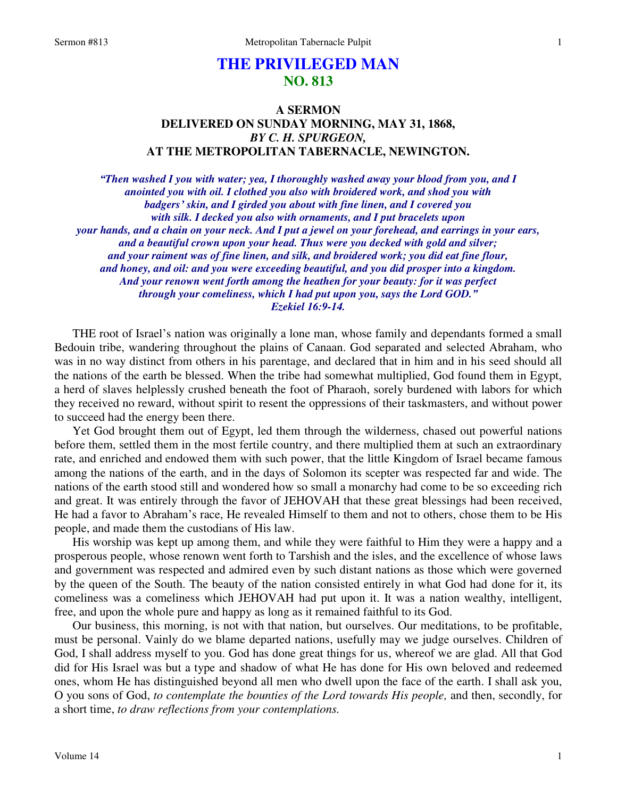# **THE PRIVILEGED MAN NO. 813**

## **A SERMON DELIVERED ON SUNDAY MORNING, MAY 31, 1868,**  *BY C. H. SPURGEON,*  **AT THE METROPOLITAN TABERNACLE, NEWINGTON.**

*"Then washed I you with water; yea, I thoroughly washed away your blood from you, and I anointed you with oil. I clothed you also with broidered work, and shod you with badgers' skin, and I girded you about with fine linen, and I covered you with silk. I decked you also with ornaments, and I put bracelets upon your hands, and a chain on your neck. And I put a jewel on your forehead, and earrings in your ears, and a beautiful crown upon your head. Thus were you decked with gold and silver; and your raiment was of fine linen, and silk, and broidered work; you did eat fine flour, and honey, and oil: and you were exceeding beautiful, and you did prosper into a kingdom. And your renown went forth among the heathen for your beauty: for it was perfect through your comeliness, which I had put upon you, says the Lord GOD." Ezekiel 16:9-14.* 

 THE root of Israel's nation was originally a lone man, whose family and dependants formed a small Bedouin tribe, wandering throughout the plains of Canaan. God separated and selected Abraham, who was in no way distinct from others in his parentage, and declared that in him and in his seed should all the nations of the earth be blessed. When the tribe had somewhat multiplied, God found them in Egypt, a herd of slaves helplessly crushed beneath the foot of Pharaoh, sorely burdened with labors for which they received no reward, without spirit to resent the oppressions of their taskmasters, and without power to succeed had the energy been there.

 Yet God brought them out of Egypt, led them through the wilderness, chased out powerful nations before them, settled them in the most fertile country, and there multiplied them at such an extraordinary rate, and enriched and endowed them with such power, that the little Kingdom of Israel became famous among the nations of the earth, and in the days of Solomon its scepter was respected far and wide. The nations of the earth stood still and wondered how so small a monarchy had come to be so exceeding rich and great. It was entirely through the favor of JEHOVAH that these great blessings had been received, He had a favor to Abraham's race, He revealed Himself to them and not to others, chose them to be His people, and made them the custodians of His law.

 His worship was kept up among them, and while they were faithful to Him they were a happy and a prosperous people, whose renown went forth to Tarshish and the isles, and the excellence of whose laws and government was respected and admired even by such distant nations as those which were governed by the queen of the South. The beauty of the nation consisted entirely in what God had done for it, its comeliness was a comeliness which JEHOVAH had put upon it. It was a nation wealthy, intelligent, free, and upon the whole pure and happy as long as it remained faithful to its God.

 Our business, this morning, is not with that nation, but ourselves. Our meditations, to be profitable, must be personal. Vainly do we blame departed nations, usefully may we judge ourselves. Children of God, I shall address myself to you. God has done great things for us, whereof we are glad. All that God did for His Israel was but a type and shadow of what He has done for His own beloved and redeemed ones, whom He has distinguished beyond all men who dwell upon the face of the earth. I shall ask you, O you sons of God, *to contemplate the bounties of the Lord towards His people,* and then, secondly, for a short time, *to draw reflections from your contemplations.*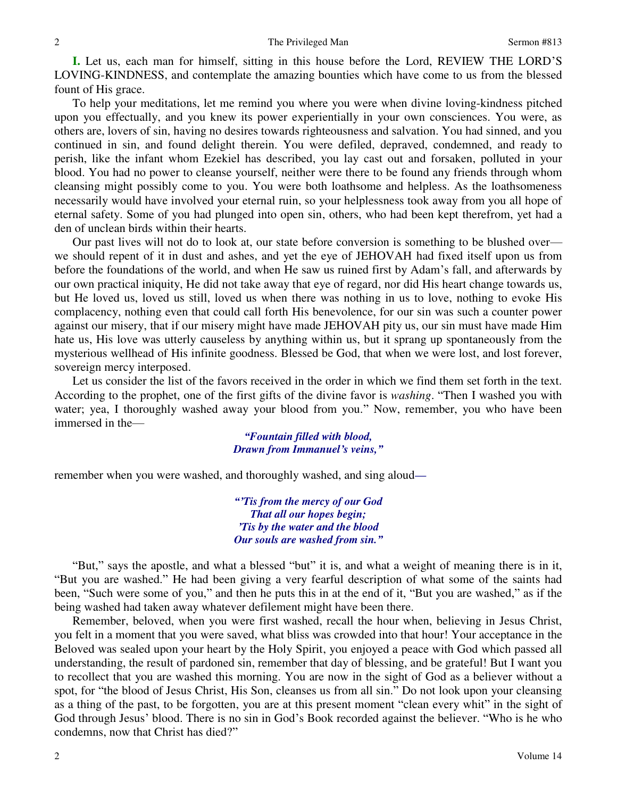**I.** Let us, each man for himself, sitting in this house before the Lord, REVIEW THE LORD'S LOVING-KINDNESS, and contemplate the amazing bounties which have come to us from the blessed fount of His grace.

 To help your meditations, let me remind you where you were when divine loving-kindness pitched upon you effectually, and you knew its power experientially in your own consciences. You were, as others are, lovers of sin, having no desires towards righteousness and salvation. You had sinned, and you continued in sin, and found delight therein. You were defiled, depraved, condemned, and ready to perish, like the infant whom Ezekiel has described, you lay cast out and forsaken, polluted in your blood. You had no power to cleanse yourself, neither were there to be found any friends through whom cleansing might possibly come to you. You were both loathsome and helpless. As the loathsomeness necessarily would have involved your eternal ruin, so your helplessness took away from you all hope of eternal safety. Some of you had plunged into open sin, others, who had been kept therefrom, yet had a den of unclean birds within their hearts.

 Our past lives will not do to look at, our state before conversion is something to be blushed over we should repent of it in dust and ashes, and yet the eye of JEHOVAH had fixed itself upon us from before the foundations of the world, and when He saw us ruined first by Adam's fall, and afterwards by our own practical iniquity, He did not take away that eye of regard, nor did His heart change towards us, but He loved us, loved us still, loved us when there was nothing in us to love, nothing to evoke His complacency, nothing even that could call forth His benevolence, for our sin was such a counter power against our misery, that if our misery might have made JEHOVAH pity us, our sin must have made Him hate us, His love was utterly causeless by anything within us, but it sprang up spontaneously from the mysterious wellhead of His infinite goodness. Blessed be God, that when we were lost, and lost forever, sovereign mercy interposed.

 Let us consider the list of the favors received in the order in which we find them set forth in the text. According to the prophet, one of the first gifts of the divine favor is *washing*. "Then I washed you with water; yea, I thoroughly washed away your blood from you." Now, remember, you who have been immersed in the—

> *"Fountain filled with blood, Drawn from Immanuel's veins,"*

remember when you were washed, and thoroughly washed, and sing aloud*—*

*"'Tis from the mercy of our God That all our hopes begin; 'Tis by the water and the blood Our souls are washed from sin."*

"But," says the apostle, and what a blessed "but" it is, and what a weight of meaning there is in it, "But you are washed." He had been giving a very fearful description of what some of the saints had been, "Such were some of you," and then he puts this in at the end of it, "But you are washed," as if the being washed had taken away whatever defilement might have been there.

 Remember, beloved, when you were first washed, recall the hour when, believing in Jesus Christ, you felt in a moment that you were saved, what bliss was crowded into that hour! Your acceptance in the Beloved was sealed upon your heart by the Holy Spirit, you enjoyed a peace with God which passed all understanding, the result of pardoned sin, remember that day of blessing, and be grateful! But I want you to recollect that you are washed this morning. You are now in the sight of God as a believer without a spot, for "the blood of Jesus Christ, His Son, cleanses us from all sin." Do not look upon your cleansing as a thing of the past, to be forgotten, you are at this present moment "clean every whit" in the sight of God through Jesus' blood. There is no sin in God's Book recorded against the believer. "Who is he who condemns, now that Christ has died?"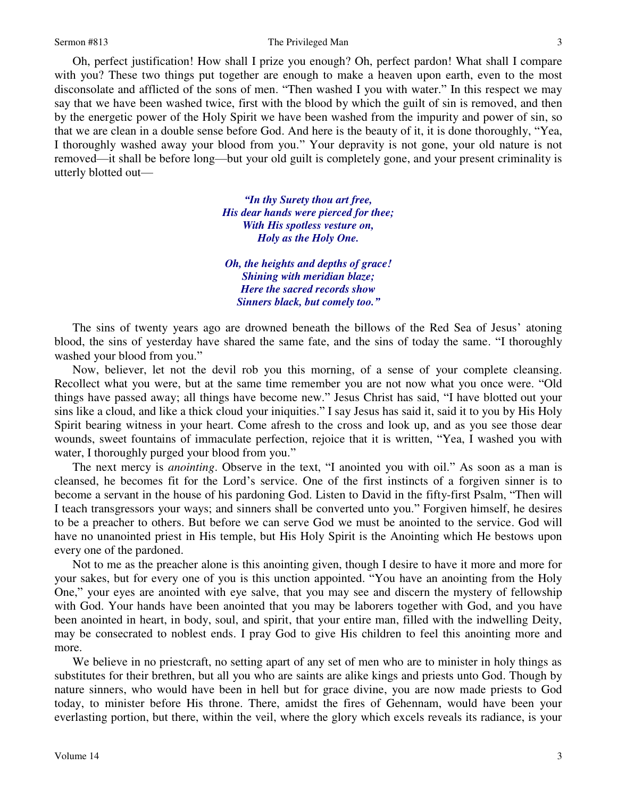Oh, perfect justification! How shall I prize you enough? Oh, perfect pardon! What shall I compare with you? These two things put together are enough to make a heaven upon earth, even to the most disconsolate and afflicted of the sons of men. "Then washed I you with water." In this respect we may say that we have been washed twice, first with the blood by which the guilt of sin is removed, and then by the energetic power of the Holy Spirit we have been washed from the impurity and power of sin, so that we are clean in a double sense before God. And here is the beauty of it, it is done thoroughly, "Yea, I thoroughly washed away your blood from you." Your depravity is not gone, your old nature is not removed—it shall be before long—but your old guilt is completely gone, and your present criminality is utterly blotted out—

> *"In thy Surety thou art free, His dear hands were pierced for thee; With His spotless vesture on, Holy as the Holy One.*

*Oh, the heights and depths of grace! Shining with meridian blaze; Here the sacred records show Sinners black, but comely too."*

 The sins of twenty years ago are drowned beneath the billows of the Red Sea of Jesus' atoning blood, the sins of yesterday have shared the same fate, and the sins of today the same. "I thoroughly washed your blood from you."

 Now, believer, let not the devil rob you this morning, of a sense of your complete cleansing. Recollect what you were, but at the same time remember you are not now what you once were. "Old things have passed away; all things have become new." Jesus Christ has said, "I have blotted out your sins like a cloud, and like a thick cloud your iniquities." I say Jesus has said it, said it to you by His Holy Spirit bearing witness in your heart. Come afresh to the cross and look up, and as you see those dear wounds, sweet fountains of immaculate perfection, rejoice that it is written, "Yea, I washed you with water, I thoroughly purged your blood from you."

 The next mercy is *anointing*. Observe in the text, "I anointed you with oil." As soon as a man is cleansed, he becomes fit for the Lord's service. One of the first instincts of a forgiven sinner is to become a servant in the house of his pardoning God. Listen to David in the fifty-first Psalm, "Then will I teach transgressors your ways; and sinners shall be converted unto you." Forgiven himself, he desires to be a preacher to others. But before we can serve God we must be anointed to the service. God will have no unanointed priest in His temple, but His Holy Spirit is the Anointing which He bestows upon every one of the pardoned.

 Not to me as the preacher alone is this anointing given, though I desire to have it more and more for your sakes, but for every one of you is this unction appointed. "You have an anointing from the Holy One," your eyes are anointed with eye salve, that you may see and discern the mystery of fellowship with God. Your hands have been anointed that you may be laborers together with God, and you have been anointed in heart, in body, soul, and spirit, that your entire man, filled with the indwelling Deity, may be consecrated to noblest ends. I pray God to give His children to feel this anointing more and more.

We believe in no priestcraft, no setting apart of any set of men who are to minister in holy things as substitutes for their brethren, but all you who are saints are alike kings and priests unto God. Though by nature sinners, who would have been in hell but for grace divine, you are now made priests to God today, to minister before His throne. There, amidst the fires of Gehennam, would have been your everlasting portion, but there, within the veil, where the glory which excels reveals its radiance, is your

3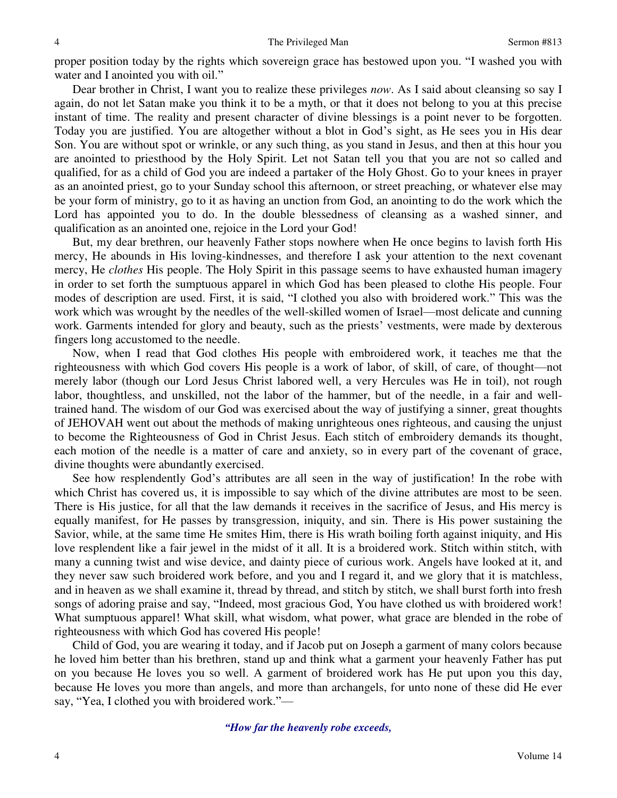proper position today by the rights which sovereign grace has bestowed upon you. "I washed you with water and I anointed you with oil."

 Dear brother in Christ, I want you to realize these privileges *now*. As I said about cleansing so say I again, do not let Satan make you think it to be a myth, or that it does not belong to you at this precise instant of time. The reality and present character of divine blessings is a point never to be forgotten. Today you are justified. You are altogether without a blot in God's sight, as He sees you in His dear Son. You are without spot or wrinkle, or any such thing, as you stand in Jesus, and then at this hour you are anointed to priesthood by the Holy Spirit. Let not Satan tell you that you are not so called and qualified, for as a child of God you are indeed a partaker of the Holy Ghost. Go to your knees in prayer as an anointed priest, go to your Sunday school this afternoon, or street preaching, or whatever else may be your form of ministry, go to it as having an unction from God, an anointing to do the work which the Lord has appointed you to do. In the double blessedness of cleansing as a washed sinner, and qualification as an anointed one, rejoice in the Lord your God!

 But, my dear brethren, our heavenly Father stops nowhere when He once begins to lavish forth His mercy, He abounds in His loving-kindnesses, and therefore I ask your attention to the next covenant mercy, He *clothes* His people. The Holy Spirit in this passage seems to have exhausted human imagery in order to set forth the sumptuous apparel in which God has been pleased to clothe His people. Four modes of description are used. First, it is said, "I clothed you also with broidered work." This was the work which was wrought by the needles of the well-skilled women of Israel—most delicate and cunning work. Garments intended for glory and beauty, such as the priests' vestments, were made by dexterous fingers long accustomed to the needle.

 Now, when I read that God clothes His people with embroidered work, it teaches me that the righteousness with which God covers His people is a work of labor, of skill, of care, of thought—not merely labor (though our Lord Jesus Christ labored well, a very Hercules was He in toil), not rough labor, thoughtless, and unskilled, not the labor of the hammer, but of the needle, in a fair and welltrained hand. The wisdom of our God was exercised about the way of justifying a sinner, great thoughts of JEHOVAH went out about the methods of making unrighteous ones righteous, and causing the unjust to become the Righteousness of God in Christ Jesus. Each stitch of embroidery demands its thought, each motion of the needle is a matter of care and anxiety, so in every part of the covenant of grace, divine thoughts were abundantly exercised.

 See how resplendently God's attributes are all seen in the way of justification! In the robe with which Christ has covered us, it is impossible to say which of the divine attributes are most to be seen. There is His justice, for all that the law demands it receives in the sacrifice of Jesus, and His mercy is equally manifest, for He passes by transgression, iniquity, and sin. There is His power sustaining the Savior, while, at the same time He smites Him, there is His wrath boiling forth against iniquity, and His love resplendent like a fair jewel in the midst of it all. It is a broidered work. Stitch within stitch, with many a cunning twist and wise device, and dainty piece of curious work. Angels have looked at it, and they never saw such broidered work before, and you and I regard it, and we glory that it is matchless, and in heaven as we shall examine it, thread by thread, and stitch by stitch, we shall burst forth into fresh songs of adoring praise and say, "Indeed, most gracious God, You have clothed us with broidered work! What sumptuous apparel! What skill, what wisdom, what power, what grace are blended in the robe of righteousness with which God has covered His people!

 Child of God, you are wearing it today, and if Jacob put on Joseph a garment of many colors because he loved him better than his brethren, stand up and think what a garment your heavenly Father has put on you because He loves you so well. A garment of broidered work has He put upon you this day, because He loves you more than angels, and more than archangels, for unto none of these did He ever say, "Yea, I clothed you with broidered work."—

*"How far the heavenly robe exceeds,*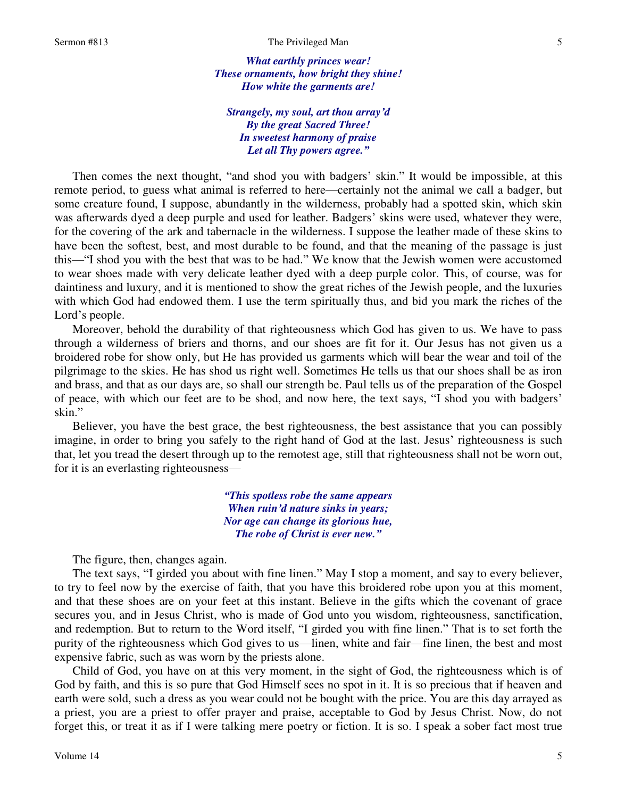*What earthly princes wear! These ornaments, how bright they shine! How white the garments are!* 

*Strangely, my soul, art thou array'd By the great Sacred Three! In sweetest harmony of praise Let all Thy powers agree."*

Then comes the next thought, "and shod you with badgers' skin." It would be impossible, at this remote period, to guess what animal is referred to here—certainly not the animal we call a badger, but some creature found, I suppose, abundantly in the wilderness, probably had a spotted skin, which skin was afterwards dyed a deep purple and used for leather. Badgers' skins were used, whatever they were, for the covering of the ark and tabernacle in the wilderness. I suppose the leather made of these skins to have been the softest, best, and most durable to be found, and that the meaning of the passage is just this—"I shod you with the best that was to be had." We know that the Jewish women were accustomed to wear shoes made with very delicate leather dyed with a deep purple color. This, of course, was for daintiness and luxury, and it is mentioned to show the great riches of the Jewish people, and the luxuries with which God had endowed them. I use the term spiritually thus, and bid you mark the riches of the Lord's people.

 Moreover, behold the durability of that righteousness which God has given to us. We have to pass through a wilderness of briers and thorns, and our shoes are fit for it. Our Jesus has not given us a broidered robe for show only, but He has provided us garments which will bear the wear and toil of the pilgrimage to the skies. He has shod us right well. Sometimes He tells us that our shoes shall be as iron and brass, and that as our days are, so shall our strength be. Paul tells us of the preparation of the Gospel of peace, with which our feet are to be shod, and now here, the text says, "I shod you with badgers' skin."

 Believer, you have the best grace, the best righteousness, the best assistance that you can possibly imagine, in order to bring you safely to the right hand of God at the last. Jesus' righteousness is such that, let you tread the desert through up to the remotest age, still that righteousness shall not be worn out, for it is an everlasting righteousness—

> *"This spotless robe the same appears When ruin'd nature sinks in years; Nor age can change its glorious hue, The robe of Christ is ever new."*

The figure, then, changes again.

 The text says, "I girded you about with fine linen." May I stop a moment, and say to every believer, to try to feel now by the exercise of faith, that you have this broidered robe upon you at this moment, and that these shoes are on your feet at this instant. Believe in the gifts which the covenant of grace secures you, and in Jesus Christ, who is made of God unto you wisdom, righteousness, sanctification, and redemption. But to return to the Word itself, "I girded you with fine linen." That is to set forth the purity of the righteousness which God gives to us—linen, white and fair—fine linen, the best and most expensive fabric, such as was worn by the priests alone.

 Child of God, you have on at this very moment, in the sight of God, the righteousness which is of God by faith, and this is so pure that God Himself sees no spot in it. It is so precious that if heaven and earth were sold, such a dress as you wear could not be bought with the price. You are this day arrayed as a priest, you are a priest to offer prayer and praise, acceptable to God by Jesus Christ. Now, do not forget this, or treat it as if I were talking mere poetry or fiction. It is so. I speak a sober fact most true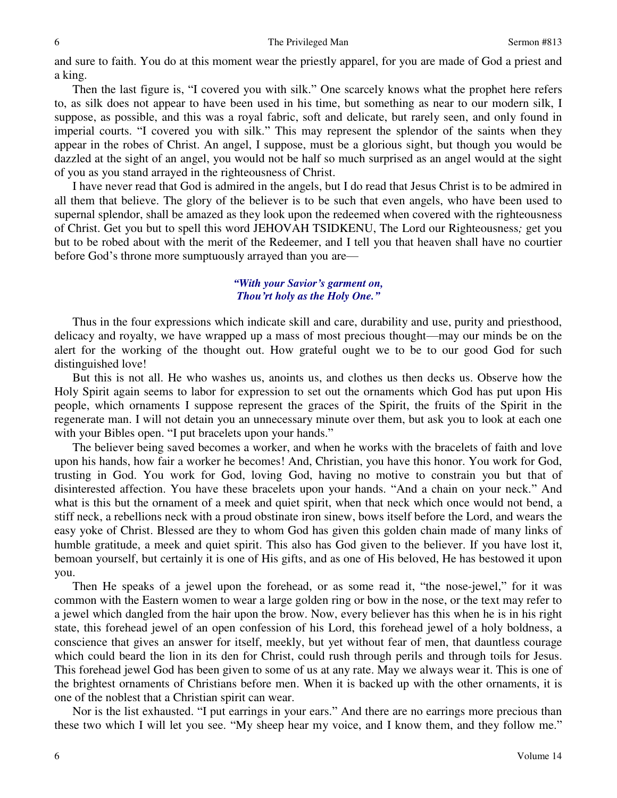and sure to faith. You do at this moment wear the priestly apparel, for you are made of God a priest and a king.

 Then the last figure is, "I covered you with silk." One scarcely knows what the prophet here refers to, as silk does not appear to have been used in his time, but something as near to our modern silk, I suppose, as possible, and this was a royal fabric, soft and delicate, but rarely seen, and only found in imperial courts. "I covered you with silk." This may represent the splendor of the saints when they appear in the robes of Christ. An angel, I suppose, must be a glorious sight, but though you would be dazzled at the sight of an angel, you would not be half so much surprised as an angel would at the sight of you as you stand arrayed in the righteousness of Christ.

 I have never read that God is admired in the angels, but I do read that Jesus Christ is to be admired in all them that believe. The glory of the believer is to be such that even angels, who have been used to supernal splendor, shall be amazed as they look upon the redeemed when covered with the righteousness of Christ. Get you but to spell this word JEHOVAH TSIDKENU, The Lord our Righteousness*;* get you but to be robed about with the merit of the Redeemer, and I tell you that heaven shall have no courtier before God's throne more sumptuously arrayed than you are—

## *"With your Savior's garment on, Thou'rt holy as the Holy One."*

 Thus in the four expressions which indicate skill and care, durability and use, purity and priesthood, delicacy and royalty, we have wrapped up a mass of most precious thought—may our minds be on the alert for the working of the thought out. How grateful ought we to be to our good God for such distinguished love!

 But this is not all. He who washes us, anoints us, and clothes us then decks us. Observe how the Holy Spirit again seems to labor for expression to set out the ornaments which God has put upon His people, which ornaments I suppose represent the graces of the Spirit, the fruits of the Spirit in the regenerate man. I will not detain you an unnecessary minute over them, but ask you to look at each one with your Bibles open. "I put bracelets upon your hands."

 The believer being saved becomes a worker, and when he works with the bracelets of faith and love upon his hands, how fair a worker he becomes! And, Christian, you have this honor. You work for God, trusting in God. You work for God, loving God, having no motive to constrain you but that of disinterested affection. You have these bracelets upon your hands. "And a chain on your neck." And what is this but the ornament of a meek and quiet spirit, when that neck which once would not bend, a stiff neck, a rebellions neck with a proud obstinate iron sinew, bows itself before the Lord, and wears the easy yoke of Christ. Blessed are they to whom God has given this golden chain made of many links of humble gratitude, a meek and quiet spirit. This also has God given to the believer. If you have lost it, bemoan yourself, but certainly it is one of His gifts, and as one of His beloved, He has bestowed it upon you.

 Then He speaks of a jewel upon the forehead, or as some read it, "the nose-jewel," for it was common with the Eastern women to wear a large golden ring or bow in the nose, or the text may refer to a jewel which dangled from the hair upon the brow. Now, every believer has this when he is in his right state, this forehead jewel of an open confession of his Lord, this forehead jewel of a holy boldness, a conscience that gives an answer for itself, meekly, but yet without fear of men, that dauntless courage which could beard the lion in its den for Christ, could rush through perils and through toils for Jesus. This forehead jewel God has been given to some of us at any rate. May we always wear it. This is one of the brightest ornaments of Christians before men. When it is backed up with the other ornaments, it is one of the noblest that a Christian spirit can wear.

 Nor is the list exhausted. "I put earrings in your ears." And there are no earrings more precious than these two which I will let you see. "My sheep hear my voice, and I know them, and they follow me."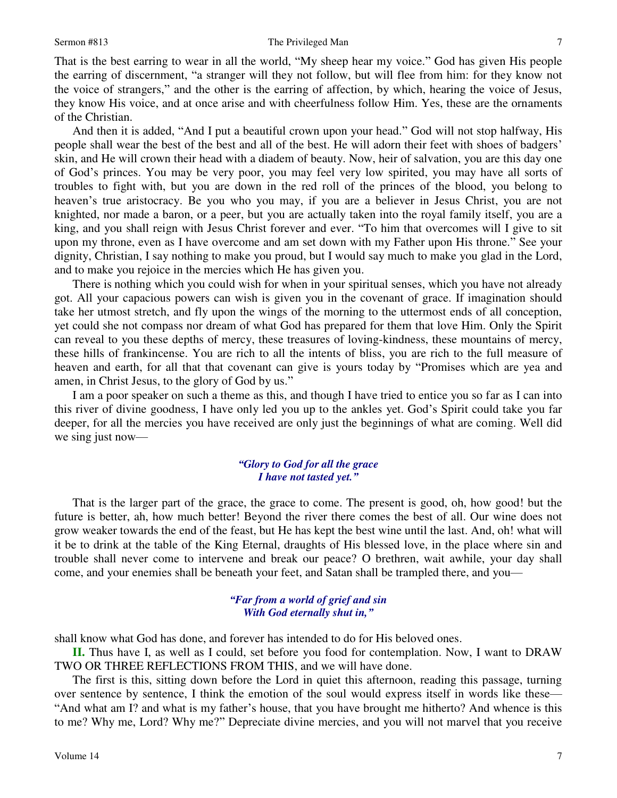That is the best earring to wear in all the world, "My sheep hear my voice." God has given His people the earring of discernment, "a stranger will they not follow, but will flee from him: for they know not the voice of strangers," and the other is the earring of affection, by which, hearing the voice of Jesus, they know His voice, and at once arise and with cheerfulness follow Him. Yes, these are the ornaments of the Christian.

 And then it is added, "And I put a beautiful crown upon your head." God will not stop halfway, His people shall wear the best of the best and all of the best. He will adorn their feet with shoes of badgers' skin, and He will crown their head with a diadem of beauty. Now, heir of salvation, you are this day one of God's princes. You may be very poor, you may feel very low spirited, you may have all sorts of troubles to fight with, but you are down in the red roll of the princes of the blood, you belong to heaven's true aristocracy. Be you who you may, if you are a believer in Jesus Christ, you are not knighted, nor made a baron, or a peer, but you are actually taken into the royal family itself, you are a king, and you shall reign with Jesus Christ forever and ever. "To him that overcomes will I give to sit upon my throne, even as I have overcome and am set down with my Father upon His throne." See your dignity, Christian, I say nothing to make you proud, but I would say much to make you glad in the Lord, and to make you rejoice in the mercies which He has given you.

 There is nothing which you could wish for when in your spiritual senses, which you have not already got. All your capacious powers can wish is given you in the covenant of grace. If imagination should take her utmost stretch, and fly upon the wings of the morning to the uttermost ends of all conception, yet could she not compass nor dream of what God has prepared for them that love Him. Only the Spirit can reveal to you these depths of mercy, these treasures of loving-kindness, these mountains of mercy, these hills of frankincense. You are rich to all the intents of bliss, you are rich to the full measure of heaven and earth, for all that that covenant can give is yours today by "Promises which are yea and amen, in Christ Jesus, to the glory of God by us."

 I am a poor speaker on such a theme as this, and though I have tried to entice you so far as I can into this river of divine goodness, I have only led you up to the ankles yet. God's Spirit could take you far deeper, for all the mercies you have received are only just the beginnings of what are coming. Well did we sing just now—

## *"Glory to God for all the grace I have not tasted yet."*

That is the larger part of the grace, the grace to come. The present is good, oh, how good! but the future is better, ah, how much better! Beyond the river there comes the best of all. Our wine does not grow weaker towards the end of the feast, but He has kept the best wine until the last. And, oh! what will it be to drink at the table of the King Eternal, draughts of His blessed love, in the place where sin and trouble shall never come to intervene and break our peace? O brethren, wait awhile, your day shall come, and your enemies shall be beneath your feet, and Satan shall be trampled there, and you—

## *"Far from a world of grief and sin With God eternally shut in,"*

shall know what God has done, and forever has intended to do for His beloved ones.

**II.** Thus have I, as well as I could, set before you food for contemplation. Now, I want to DRAW TWO OR THREE REFLECTIONS FROM THIS, and we will have done.

 The first is this, sitting down before the Lord in quiet this afternoon, reading this passage, turning over sentence by sentence, I think the emotion of the soul would express itself in words like these— "And what am I? and what is my father's house, that you have brought me hitherto? And whence is this to me? Why me, Lord? Why me?" Depreciate divine mercies, and you will not marvel that you receive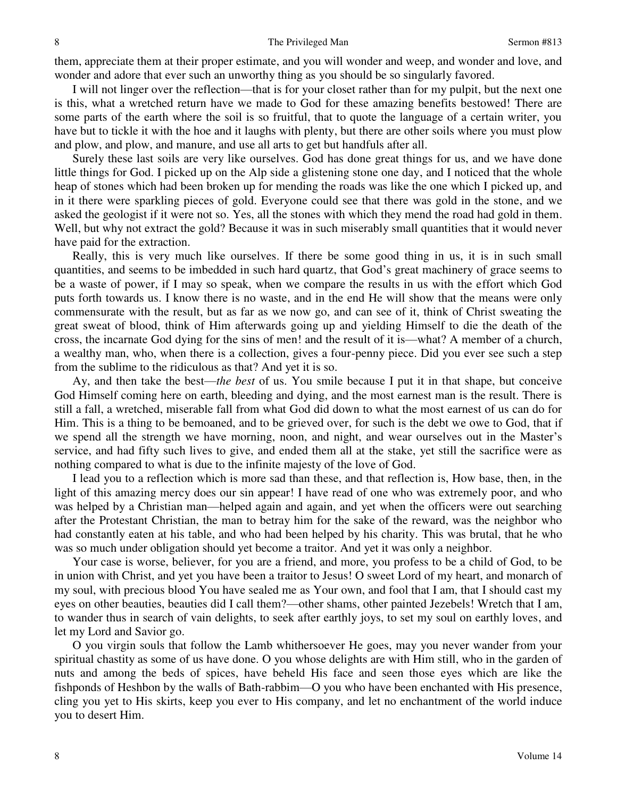them, appreciate them at their proper estimate, and you will wonder and weep, and wonder and love, and wonder and adore that ever such an unworthy thing as you should be so singularly favored.

 I will not linger over the reflection—that is for your closet rather than for my pulpit, but the next one is this, what a wretched return have we made to God for these amazing benefits bestowed! There are some parts of the earth where the soil is so fruitful, that to quote the language of a certain writer, you have but to tickle it with the hoe and it laughs with plenty, but there are other soils where you must plow and plow, and plow, and manure, and use all arts to get but handfuls after all.

 Surely these last soils are very like ourselves. God has done great things for us, and we have done little things for God. I picked up on the Alp side a glistening stone one day, and I noticed that the whole heap of stones which had been broken up for mending the roads was like the one which I picked up, and in it there were sparkling pieces of gold. Everyone could see that there was gold in the stone, and we asked the geologist if it were not so. Yes, all the stones with which they mend the road had gold in them. Well, but why not extract the gold? Because it was in such miserably small quantities that it would never have paid for the extraction.

 Really, this is very much like ourselves. If there be some good thing in us, it is in such small quantities, and seems to be imbedded in such hard quartz, that God's great machinery of grace seems to be a waste of power, if I may so speak, when we compare the results in us with the effort which God puts forth towards us. I know there is no waste, and in the end He will show that the means were only commensurate with the result, but as far as we now go, and can see of it, think of Christ sweating the great sweat of blood, think of Him afterwards going up and yielding Himself to die the death of the cross, the incarnate God dying for the sins of men! and the result of it is—what? A member of a church, a wealthy man, who, when there is a collection, gives a four-penny piece. Did you ever see such a step from the sublime to the ridiculous as that? And yet it is so.

Ay, and then take the best—*the best* of us. You smile because I put it in that shape, but conceive God Himself coming here on earth, bleeding and dying, and the most earnest man is the result. There is still a fall, a wretched, miserable fall from what God did down to what the most earnest of us can do for Him. This is a thing to be bemoaned, and to be grieved over, for such is the debt we owe to God, that if we spend all the strength we have morning, noon, and night, and wear ourselves out in the Master's service, and had fifty such lives to give, and ended them all at the stake, yet still the sacrifice were as nothing compared to what is due to the infinite majesty of the love of God.

 I lead you to a reflection which is more sad than these, and that reflection is, How base, then, in the light of this amazing mercy does our sin appear! I have read of one who was extremely poor, and who was helped by a Christian man—helped again and again, and yet when the officers were out searching after the Protestant Christian, the man to betray him for the sake of the reward, was the neighbor who had constantly eaten at his table, and who had been helped by his charity. This was brutal, that he who was so much under obligation should yet become a traitor. And yet it was only a neighbor.

 Your case is worse, believer, for you are a friend, and more, you profess to be a child of God, to be in union with Christ, and yet you have been a traitor to Jesus! O sweet Lord of my heart, and monarch of my soul, with precious blood You have sealed me as Your own, and fool that I am, that I should cast my eyes on other beauties, beauties did I call them?—other shams, other painted Jezebels! Wretch that I am, to wander thus in search of vain delights, to seek after earthly joys, to set my soul on earthly loves, and let my Lord and Savior go.

 O you virgin souls that follow the Lamb whithersoever He goes, may you never wander from your spiritual chastity as some of us have done. O you whose delights are with Him still, who in the garden of nuts and among the beds of spices, have beheld His face and seen those eyes which are like the fishponds of Heshbon by the walls of Bath-rabbim—O you who have been enchanted with His presence, cling you yet to His skirts, keep you ever to His company, and let no enchantment of the world induce you to desert Him.